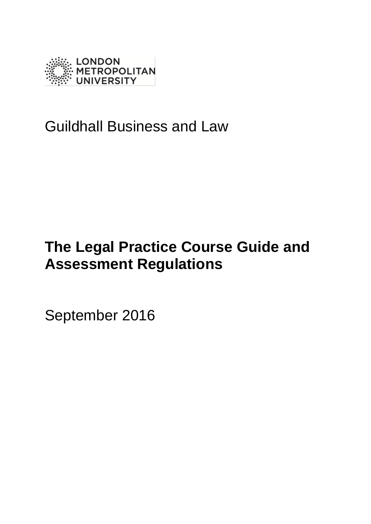

## Guildhall Business and Law

# **The Legal Practice Course Guide and Assessment Regulations**

September 2016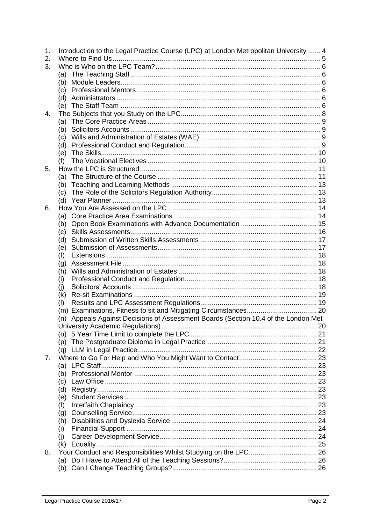<span id="page-1-0"></span>

| 1.<br>2.       | Introduction to the Legal Practice Course (LPC) at London Metropolitan University 4 |  |
|----------------|-------------------------------------------------------------------------------------|--|
| 3.             |                                                                                     |  |
|                |                                                                                     |  |
|                | (a)                                                                                 |  |
|                | (b)                                                                                 |  |
|                |                                                                                     |  |
|                |                                                                                     |  |
|                |                                                                                     |  |
| 4.             |                                                                                     |  |
|                | (a)                                                                                 |  |
|                | (b)                                                                                 |  |
|                | (c)                                                                                 |  |
|                | (d)                                                                                 |  |
|                | (e)                                                                                 |  |
|                | (f)                                                                                 |  |
| 5.             |                                                                                     |  |
|                | (a)                                                                                 |  |
|                | (b)                                                                                 |  |
|                | (c)                                                                                 |  |
|                |                                                                                     |  |
| 6.             |                                                                                     |  |
|                | (a)                                                                                 |  |
|                | (b)                                                                                 |  |
|                | (c)                                                                                 |  |
|                | (d)                                                                                 |  |
|                | (e)                                                                                 |  |
|                | (f)                                                                                 |  |
|                | (g)                                                                                 |  |
|                | (h)                                                                                 |  |
|                | (i)                                                                                 |  |
|                | (i)                                                                                 |  |
|                | (k)                                                                                 |  |
|                | (1)                                                                                 |  |
|                |                                                                                     |  |
|                | (n) Appeals Against Decisions of Assessment Boards (Section 10.4 of the London Met  |  |
|                |                                                                                     |  |
|                |                                                                                     |  |
|                | (p)                                                                                 |  |
|                | (q)                                                                                 |  |
| 7 <sub>1</sub> |                                                                                     |  |
|                |                                                                                     |  |
|                | (b)                                                                                 |  |
|                |                                                                                     |  |
|                | (c)                                                                                 |  |
|                | (d)                                                                                 |  |
|                | (e)                                                                                 |  |
|                | (f)                                                                                 |  |
|                | (g)                                                                                 |  |
|                | (h)                                                                                 |  |
|                | (i)                                                                                 |  |
|                | (i)                                                                                 |  |
|                | (k)                                                                                 |  |
| 8.             |                                                                                     |  |
|                |                                                                                     |  |
|                | (b)                                                                                 |  |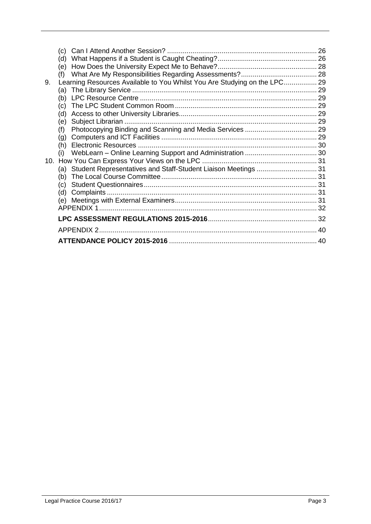|    | (C)                                                                       | 26 |
|----|---------------------------------------------------------------------------|----|
|    | (d)                                                                       |    |
|    | (e)                                                                       |    |
|    | (f)                                                                       |    |
| 9. | Learning Resources Available to You Whilst You Are Studying on the LPC 29 |    |
|    | (a)                                                                       |    |
|    | (b)                                                                       |    |
|    | (c)                                                                       |    |
|    | (d)                                                                       |    |
|    | (e)                                                                       |    |
|    | (f)                                                                       |    |
|    | (g)                                                                       |    |
|    | (h)                                                                       |    |
|    | (i)                                                                       |    |
|    |                                                                           |    |
|    | Student Representatives and Staff-Student Liaison Meetings  31<br>(a)     |    |
|    | (b)                                                                       |    |
|    | (c)                                                                       |    |
|    | (d)                                                                       |    |
|    |                                                                           |    |
|    |                                                                           |    |
|    |                                                                           |    |
|    | <b>APPFNDIX 2</b>                                                         | 40 |
|    |                                                                           | 40 |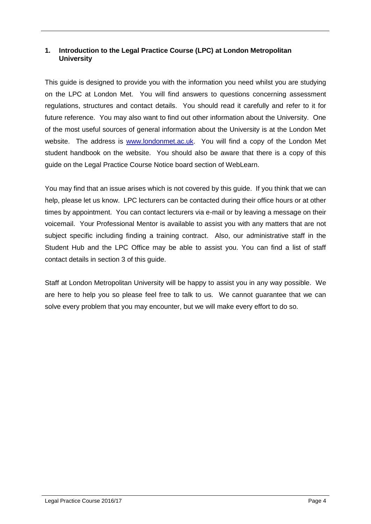## **1. Introduction to the Legal Practice Course (LPC) at London Metropolitan University**

This guide is designed to provide you with the information you need whilst you are studying on the LPC at London Met. You will find answers to questions concerning assessment regulations, structures and contact details. You should read it carefully and refer to it for future reference. You may also want to find out other information about the University. One of the most useful sources of general information about the University is at the London Met website. The address is [www.londonmet.ac.uk.](http://www.londonmet.ac.uk/) You will find a copy of the London Met student handbook on the website. You should also be aware that there is a copy of this guide on the Legal Practice Course Notice board section of WebLearn.

You may find that an issue arises which is not covered by this guide. If you think that we can help, please let us know. LPC lecturers can be contacted during their office hours or at other times by appointment. You can contact lecturers via e-mail or by leaving a message on their voicemail. Your Professional Mentor is available to assist you with any matters that are not subject specific including finding a training contract. Also, our administrative staff in the Student Hub and the LPC Office may be able to assist you. You can find a list of staff contact details in section 3 of this guide.

Staff at London Metropolitan University will be happy to assist you in any way possible. We are here to help you so please feel free to talk to us. We cannot guarantee that we can solve every problem that you may encounter, but we will make every effort to do so.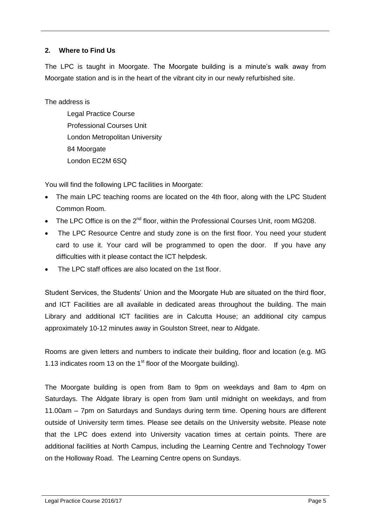## <span id="page-4-0"></span>**2. Where to Find Us**

The LPC is taught in Moorgate. The Moorgate building is a minute's walk away from Moorgate station and is in the heart of the vibrant city in our newly refurbished site.

## The address is

Legal Practice Course Professional Courses Unit London Metropolitan University 84 Moorgate London EC2M 6SQ

You will find the following LPC facilities in Moorgate:

- The main LPC teaching rooms are located on the 4th floor, along with the LPC Student Common Room.
- The LPC Office is on the  $2^{nd}$  floor, within the Professional Courses Unit, room MG208.
- The LPC Resource Centre and study zone is on the first floor. You need your student card to use it. Your card will be programmed to open the door. If you have any difficulties with it please contact the ICT helpdesk.
- The LPC staff offices are also located on the 1st floor.

Student Services, the Students' Union and the Moorgate Hub are situated on the third floor, and ICT Facilities are all available in dedicated areas throughout the building. The main Library and additional ICT facilities are in Calcutta House; an additional city campus approximately 10-12 minutes away in Goulston Street, near to Aldgate.

Rooms are given letters and numbers to indicate their building, floor and location (e.g. MG 1.13 indicates room 13 on the  $1<sup>st</sup>$  floor of the Moorgate building).

The Moorgate building is open from 8am to 9pm on weekdays and 8am to 4pm on Saturdays. The Aldgate library is open from 9am until midnight on weekdays, and from 11.00am – 7pm on Saturdays and Sundays during term time. Opening hours are different outside of University term times. Please see details on the University website. Please note that the LPC does extend into University vacation times at certain points. There are additional facilities at North Campus, including the Learning Centre and Technology Tower on the Holloway Road. The Learning Centre opens on Sundays.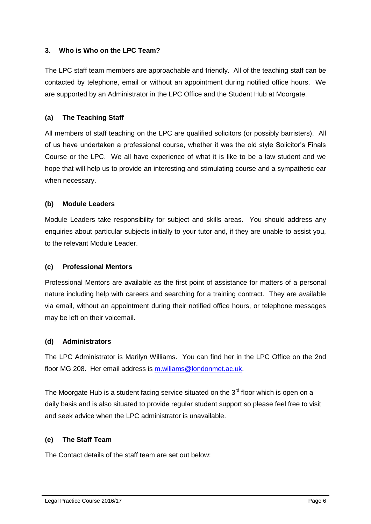## <span id="page-5-0"></span>**3. Who is Who on the LPC Team?**

The LPC staff team members are approachable and friendly. All of the teaching staff can be contacted by telephone, email or without an appointment during notified office hours. We are supported by an Administrator in the LPC Office and the Student Hub at Moorgate.

## <span id="page-5-1"></span>**(a) The Teaching Staff**

All members of staff teaching on the LPC are qualified solicitors (or possibly barristers). All of us have undertaken a professional course, whether it was the old style Solicitor's Finals Course or the LPC. We all have experience of what it is like to be a law student and we hope that will help us to provide an interesting and stimulating course and a sympathetic ear when necessary.

## <span id="page-5-2"></span>**(b) Module Leaders**

Module Leaders take responsibility for subject and skills areas. You should address any enquiries about particular subjects initially to your tutor and, if they are unable to assist you, to the relevant Module Leader.

## <span id="page-5-3"></span>**(c) Professional Mentors**

Professional Mentors are available as the first point of assistance for matters of a personal nature including help with careers and searching for a training contract. They are available via email, without an appointment during their notified office hours, or telephone messages may be left on their voicemail.

## <span id="page-5-4"></span>**(d) Administrators**

The LPC Administrator is Marilyn Williams. You can find her in the LPC Office on the 2nd floor MG 208. Her email address is [m.wiliams@londonmet.ac.uk.](mailto:m.wiliams@londonmet.ac.uk)

The Moorgate Hub is a student facing service situated on the  $3<sup>rd</sup>$  floor which is open on a daily basis and is also situated to provide regular student support so please feel free to visit and seek advice when the LPC administrator is unavailable.

## <span id="page-5-5"></span>**(e) The Staff Team**

The Contact details of the staff team are set out below: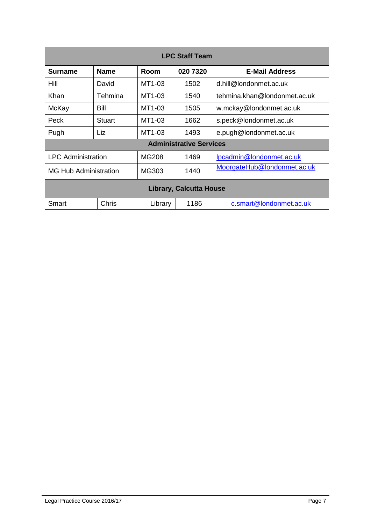| <b>LPC Staff Team</b>          |               |              |          |                              |  |
|--------------------------------|---------------|--------------|----------|------------------------------|--|
| Surname                        | <b>Name</b>   | Room         | 020 7320 | <b>E-Mail Address</b>        |  |
| Hill                           | David         | MT1-03       | 1502     | d.hill@londonmet.ac.uk       |  |
| Khan                           | Tehmina       | MT1-03       | 1540     | tehmina.khan@londonmet.ac.uk |  |
| McKay                          | Bill          | MT1-03       | 1505     | w.mckay@londonmet.ac.uk      |  |
| Peck                           | <b>Stuart</b> | MT1-03       | 1662     | s.peck@londonmet.ac.uk       |  |
| Pugh                           | Liz           | MT1-03       | 1493     | e.pugh@londonmet.ac.uk       |  |
| <b>Administrative Services</b> |               |              |          |                              |  |
| <b>LPC</b> Administration      |               | <b>MG208</b> | 1469     | lpcadmin@londonmet.ac.uk     |  |
| <b>MG Hub Administration</b>   |               | MG303        | 1440     | MoorgateHub@londonmet.ac.uk  |  |
| <b>Library, Calcutta House</b> |               |              |          |                              |  |
| Smart                          | Chris         | Library      | 1186     | c.smart@londonmet.ac.uk      |  |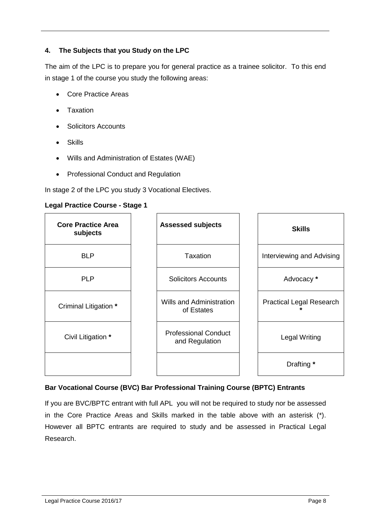## <span id="page-7-0"></span>**4. The Subjects that you Study on the LPC**

The aim of the LPC is to prepare you for general practice as a trainee solicitor. To this end in stage 1 of the course you study the following areas:

- Core Practice Areas
- **Taxation**
- Solicitors Accounts
- Skills
- Wills and Administration of Estates (WAE)
- Professional Conduct and Regulation

In stage 2 of the LPC you study 3 Vocational Electives.

#### **Legal Practice Course - Stage 1**



## **Bar Vocational Course (BVC) Bar Professional Training Course (BPTC) Entrants**

If you are BVC/BPTC entrant with full APL you will not be required to study nor be assessed in the Core Practice Areas and Skills marked in the table above with an asterisk (\*). However all BPTC entrants are required to study and be assessed in Practical Legal Research.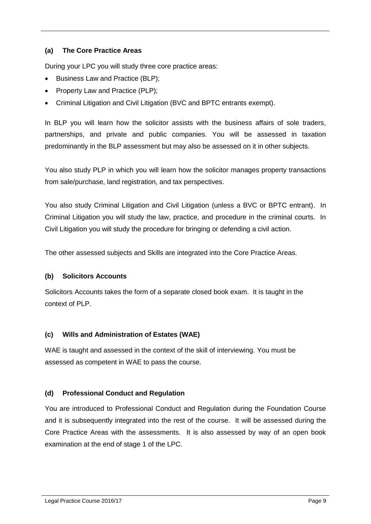## <span id="page-8-0"></span>**(a) The Core Practice Areas**

During your LPC you will study three core practice areas:

- Business Law and Practice (BLP);
- Property Law and Practice (PLP);
- Criminal Litigation and Civil Litigation (BVC and BPTC entrants exempt).

In BLP you will learn how the solicitor assists with the business affairs of sole traders, partnerships, and private and public companies. You will be assessed in taxation predominantly in the BLP assessment but may also be assessed on it in other subjects.

You also study PLP in which you will learn how the solicitor manages property transactions from sale/purchase, land registration, and tax perspectives.

You also study Criminal Litigation and Civil Litigation (unless a BVC or BPTC entrant). In Criminal Litigation you will study the law, practice, and procedure in the criminal courts. In Civil Litigation you will study the procedure for bringing or defending a civil action.

The other assessed subjects and Skills are integrated into the Core Practice Areas.

## <span id="page-8-1"></span>**(b) Solicitors Accounts**

Solicitors Accounts takes the form of a separate closed book exam. It is taught in the context of PLP.

## <span id="page-8-2"></span>**(c) Wills and Administration of Estates (WAE)**

WAE is taught and assessed in the context of the skill of interviewing. You must be assessed as competent in WAE to pass the course.

## <span id="page-8-3"></span>**(d) Professional Conduct and Regulation**

You are introduced to Professional Conduct and Regulation during the Foundation Course and it is subsequently integrated into the rest of the course. It will be assessed during the Core Practice Areas with the assessments. It is also assessed by way of an open book examination at the end of stage 1 of the LPC.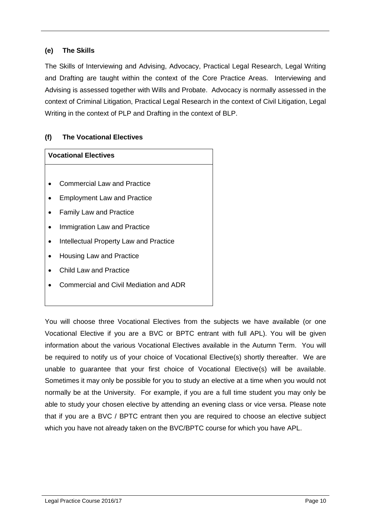## <span id="page-9-0"></span>**(e) The Skills**

The Skills of Interviewing and Advising, Advocacy, Practical Legal Research, Legal Writing and Drafting are taught within the context of the Core Practice Areas. Interviewing and Advising is assessed together with Wills and Probate. Advocacy is normally assessed in the context of Criminal Litigation, Practical Legal Research in the context of Civil Litigation, Legal Writing in the context of PLP and Drafting in the context of BLP.

## <span id="page-9-1"></span>**(f) The Vocational Electives**

## **Vocational Electives** Commercial Law and Practice Employment Law and Practice • Family Law and Practice Immigration Law and Practice • Intellectual Property Law and Practice • Housing Law and Practice Child Law and Practice Commercial and Civil Mediation and ADR

You will choose three Vocational Electives from the subjects we have available (or one Vocational Elective if you are a BVC or BPTC entrant with full APL). You will be given information about the various Vocational Electives available in the Autumn Term. You will be required to notify us of your choice of Vocational Elective(s) shortly thereafter. We are unable to guarantee that your first choice of Vocational Elective(s) will be available. Sometimes it may only be possible for you to study an elective at a time when you would not normally be at the University. For example, if you are a full time student you may only be able to study your chosen elective by attending an evening class or vice versa. Please note that if you are a BVC / BPTC entrant then you are required to choose an elective subject which you have not already taken on the BVC/BPTC course for which you have APL.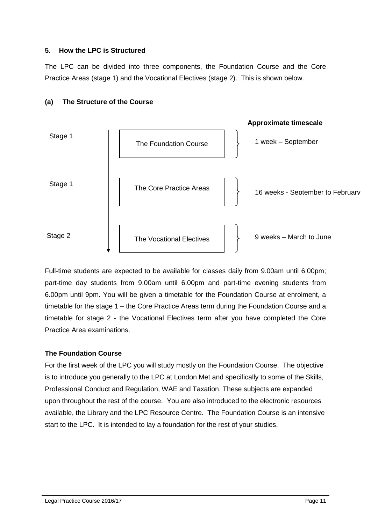## <span id="page-10-0"></span>**5. How the LPC is Structured**

The LPC can be divided into three components, the Foundation Course and the Core Practice Areas (stage 1) and the Vocational Electives (stage 2). This is shown below.



## <span id="page-10-1"></span>**(a) The Structure of the Course**

Full-time students are expected to be available for classes daily from 9.00am until 6.00pm; part-time day students from 9.00am until 6.00pm and part-time evening students from 6.00pm until 9pm. You will be given a timetable for the Foundation Course at enrolment, a timetable for the stage 1 – the Core Practice Areas term during the Foundation Course and a timetable for stage 2 - the Vocational Electives term after you have completed the Core Practice Area examinations.

## **The Foundation Course**

For the first week of the LPC you will study mostly on the Foundation Course. The objective is to introduce you generally to the LPC at London Met and specifically to some of the Skills, Professional Conduct and Regulation, WAE and Taxation. These subjects are expanded upon throughout the rest of the course. You are also introduced to the electronic resources available, the Library and the LPC Resource Centre. The Foundation Course is an intensive start to the LPC. It is intended to lay a foundation for the rest of your studies.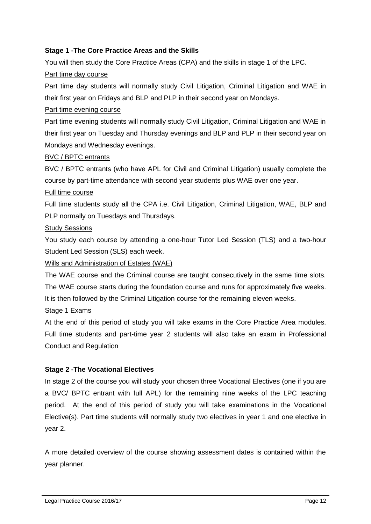## **Stage 1 -The Core Practice Areas and the Skills**

You will then study the Core Practice Areas (CPA) and the skills in stage 1 of the LPC.

## Part time day course

Part time day students will normally study Civil Litigation, Criminal Litigation and WAE in their first year on Fridays and BLP and PLP in their second year on Mondays.

## Part time evening course

Part time evening students will normally study Civil Litigation, Criminal Litigation and WAE in their first year on Tuesday and Thursday evenings and BLP and PLP in their second year on Mondays and Wednesday evenings.

## BVC / BPTC entrants

BVC / BPTC entrants (who have APL for Civil and Criminal Litigation) usually complete the course by part-time attendance with second year students plus WAE over one year.

## Full time course

Full time students study all the CPA i.e. Civil Litigation, Criminal Litigation, WAE, BLP and PLP normally on Tuesdays and Thursdays.

## Study Sessions

You study each course by attending a one-hour Tutor Led Session (TLS) and a two-hour Student Led Session (SLS) each week.

## Wills and Administration of Estates (WAE)

The WAE course and the Criminal course are taught consecutively in the same time slots. The WAE course starts during the foundation course and runs for approximately five weeks. It is then followed by the Criminal Litigation course for the remaining eleven weeks.

Stage 1 Exams

At the end of this period of study you will take exams in the Core Practice Area modules. Full time students and part-time year 2 students will also take an exam in Professional Conduct and Regulation

## **Stage 2 -The Vocational Electives**

In stage 2 of the course you will study your chosen three Vocational Electives (one if you are a BVC/ BPTC entrant with full APL) for the remaining nine weeks of the LPC teaching period. At the end of this period of study you will take examinations in the Vocational Elective(s). Part time students will normally study two electives in year 1 and one elective in year 2.

A more detailed overview of the course showing assessment dates is contained within the year planner.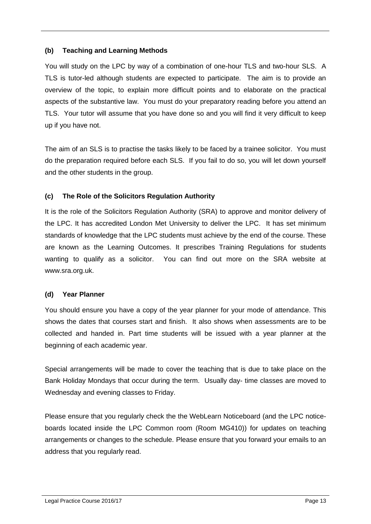## <span id="page-12-0"></span>**(b) Teaching and Learning Methods**

You will study on the LPC by way of a combination of one-hour TLS and two-hour SLS. A TLS is tutor-led although students are expected to participate. The aim is to provide an overview of the topic, to explain more difficult points and to elaborate on the practical aspects of the substantive law. You must do your preparatory reading before you attend an TLS. Your tutor will assume that you have done so and you will find it very difficult to keep up if you have not.

The aim of an SLS is to practise the tasks likely to be faced by a trainee solicitor. You must do the preparation required before each SLS. If you fail to do so, you will let down yourself and the other students in the group.

## <span id="page-12-1"></span>**(c) The Role of the Solicitors Regulation Authority**

It is the role of the Solicitors Regulation Authority (SRA) to approve and monitor delivery of the LPC. It has accredited London Met University to deliver the LPC. It has set minimum standards of knowledge that the LPC students must achieve by the end of the course. These are known as the Learning Outcomes. It prescribes Training Regulations for students wanting to qualify as a solicitor. You can find out more on the SRA website at www.sra.org.uk.

## <span id="page-12-2"></span>**(d) Year Planner**

You should ensure you have a copy of the year planner for your mode of attendance. This shows the dates that courses start and finish. It also shows when assessments are to be collected and handed in. Part time students will be issued with a year planner at the beginning of each academic year.

Special arrangements will be made to cover the teaching that is due to take place on the Bank Holiday Mondays that occur during the term. Usually day- time classes are moved to Wednesday and evening classes to Friday.

Please ensure that you regularly check the the WebLearn Noticeboard (and the LPC noticeboards located inside the LPC Common room (Room MG410)) for updates on teaching arrangements or changes to the schedule. Please ensure that you forward your emails to an address that you regularly read.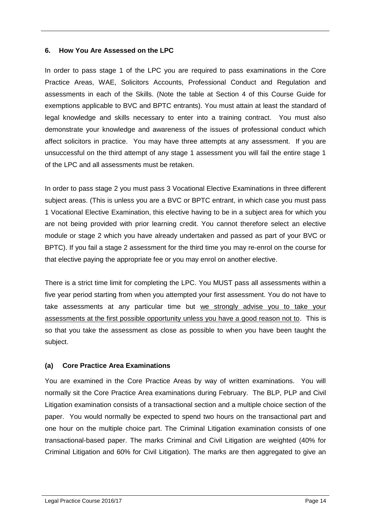#### <span id="page-13-0"></span>**6. How You Are Assessed on the LPC**

In order to pass stage 1 of the LPC you are required to pass examinations in the Core Practice Areas, WAE, Solicitors Accounts, Professional Conduct and Regulation and assessments in each of the Skills. (Note the table at Section 4 of this Course Guide for exemptions applicable to BVC and BPTC entrants). You must attain at least the standard of legal knowledge and skills necessary to enter into a training contract. You must also demonstrate your knowledge and awareness of the issues of professional conduct which affect solicitors in practice. You may have three attempts at any assessment. If you are unsuccessful on the third attempt of any stage 1 assessment you will fail the entire stage 1 of the LPC and all assessments must be retaken.

In order to pass stage 2 you must pass 3 Vocational Elective Examinations in three different subject areas. (This is unless you are a BVC or BPTC entrant, in which case you must pass 1 Vocational Elective Examination, this elective having to be in a subject area for which you are not being provided with prior learning credit. You cannot therefore select an elective module or stage 2 which you have already undertaken and passed as part of your BVC or BPTC). If you fail a stage 2 assessment for the third time you may re-enrol on the course for that elective paying the appropriate fee or you may enrol on another elective.

There is a strict time limit for completing the LPC. You MUST pass all assessments within a five year period starting from when you attempted your first assessment. You do not have to take assessments at any particular time but we strongly advise you to take your assessments at the first possible opportunity unless you have a good reason not to. This is so that you take the assessment as close as possible to when you have been taught the subject.

## <span id="page-13-1"></span>**(a) Core Practice Area Examinations**

You are examined in the Core Practice Areas by way of written examinations. You will normally sit the Core Practice Area examinations during February. The BLP, PLP and Civil Litigation examination consists of a transactional section and a multiple choice section of the paper. You would normally be expected to spend two hours on the transactional part and one hour on the multiple choice part. The Criminal Litigation examination consists of one transactional-based paper. The marks Criminal and Civil Litigation are weighted (40% for Criminal Litigation and 60% for Civil Litigation). The marks are then aggregated to give an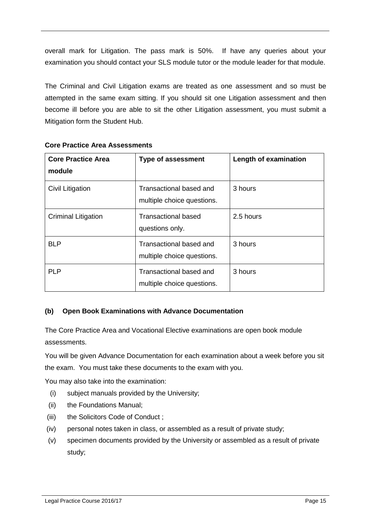overall mark for Litigation. The pass mark is 50%. If have any queries about your examination you should contact your SLS module tutor or the module leader for that module.

The Criminal and Civil Litigation exams are treated as one assessment and so must be attempted in the same exam sitting. If you should sit one Litigation assessment and then become ill before you are able to sit the other Litigation assessment, you must submit a Mitigation form the Student Hub.

| <b>Core Practice Area</b><br>module | <b>Type of assessment</b>                             | Length of examination |
|-------------------------------------|-------------------------------------------------------|-----------------------|
| Civil Litigation                    | Transactional based and<br>multiple choice questions. | 3 hours               |
| <b>Criminal Litigation</b>          | <b>Transactional based</b><br>questions only.         | 2.5 hours             |
| <b>BLP</b>                          | Transactional based and<br>multiple choice questions. | 3 hours               |
| <b>PLP</b>                          | Transactional based and<br>multiple choice questions. | 3 hours               |

#### **Core Practice Area Assessments**

## <span id="page-14-0"></span>**(b) Open Book Examinations with Advance Documentation**

The Core Practice Area and Vocational Elective examinations are open book module assessments.

You will be given Advance Documentation for each examination about a week before you sit the exam. You must take these documents to the exam with you.

You may also take into the examination:

- (i) subject manuals provided by the University;
- (ii) the Foundations Manual;
- (iii) the Solicitors Code of Conduct ;
- (iv) personal notes taken in class, or assembled as a result of private study;
- (v) specimen documents provided by the University or assembled as a result of private study;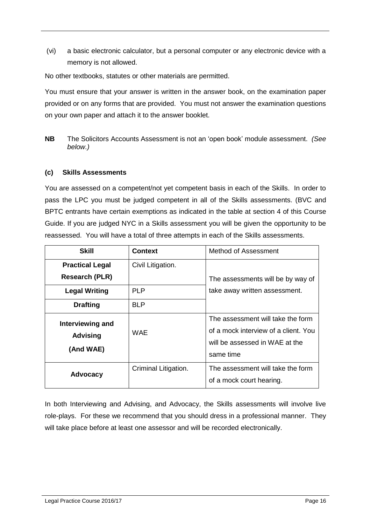(vi) a basic electronic calculator, but a personal computer or any electronic device with a memory is not allowed.

No other textbooks, statutes or other materials are permitted.

You must ensure that your answer is written in the answer book, on the examination paper provided or on any forms that are provided. You must not answer the examination questions on your own paper and attach it to the answer booklet.

**NB** The Solicitors Accounts Assessment is not an 'open book' module assessment. *(See below.)*

#### <span id="page-15-0"></span>**(c) Skills Assessments**

You are assessed on a competent/not yet competent basis in each of the Skills. In order to pass the LPC you must be judged competent in all of the Skills assessments. (BVC and BPTC entrants have certain exemptions as indicated in the table at section 4 of this Course Guide. If you are judged NYC in a Skills assessment you will be given the opportunity to be reassessed. You will have a total of three attempts in each of the Skills assessments.

| <b>Skill</b>                                     | <b>Context</b>       | Method of Assessment                                                                                                     |
|--------------------------------------------------|----------------------|--------------------------------------------------------------------------------------------------------------------------|
| <b>Practical Legal</b>                           | Civil Litigation.    |                                                                                                                          |
| <b>Research (PLR)</b>                            |                      | The assessments will be by way of                                                                                        |
| <b>Legal Writing</b>                             | PI P                 | take away written assessment.                                                                                            |
| <b>Drafting</b>                                  | <b>BLP</b>           |                                                                                                                          |
| Interviewing and<br><b>Advising</b><br>(And WAE) | WAF                  | The assessment will take the form<br>of a mock interview of a client. You<br>will be assessed in WAE at the<br>same time |
| <b>Advocacy</b>                                  | Criminal Litigation. | The assessment will take the form<br>of a mock court hearing.                                                            |

In both Interviewing and Advising, and Advocacy, the Skills assessments will involve live role-plays. For these we recommend that you should dress in a professional manner. They will take place before at least one assessor and will be recorded electronically.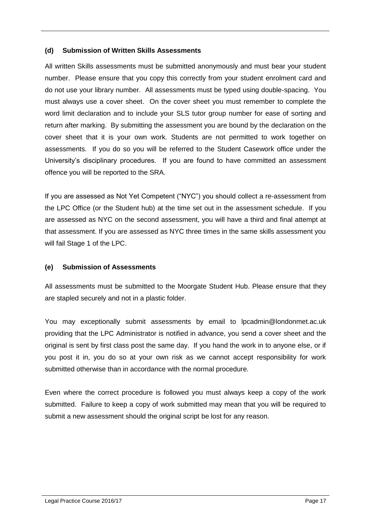#### <span id="page-16-0"></span>**(d) Submission of Written Skills Assessments**

All written Skills assessments must be submitted anonymously and must bear your student number. Please ensure that you copy this correctly from your student enrolment card and do not use your library number. All assessments must be typed using double-spacing. You must always use a cover sheet. On the cover sheet you must remember to complete the word limit declaration and to include your SLS tutor group number for ease of sorting and return after marking. By submitting the assessment you are bound by the declaration on the cover sheet that it is your own work. Students are not permitted to work together on assessments. If you do so you will be referred to the Student Casework office under the University's disciplinary procedures. If you are found to have committed an assessment offence you will be reported to the SRA.

If you are assessed as Not Yet Competent ("NYC") you should collect a re-assessment from the LPC Office (or the Student hub) at the time set out in the assessment schedule. If you are assessed as NYC on the second assessment, you will have a third and final attempt at that assessment. If you are assessed as NYC three times in the same skills assessment you will fail Stage 1 of the LPC.

## <span id="page-16-1"></span>**(e) Submission of Assessments**

All assessments must be submitted to the Moorgate Student Hub. Please ensure that they are stapled securely and not in a plastic folder.

You may exceptionally submit assessments by email to lpcadmin@londonmet.ac.uk providing that the LPC Administrator is notified in advance, you send a cover sheet and the original is sent by first class post the same day. If you hand the work in to anyone else, or if you post it in, you do so at your own risk as we cannot accept responsibility for work submitted otherwise than in accordance with the normal procedure.

Even where the correct procedure is followed you must always keep a copy of the work submitted. Failure to keep a copy of work submitted may mean that you will be required to submit a new assessment should the original script be lost for any reason.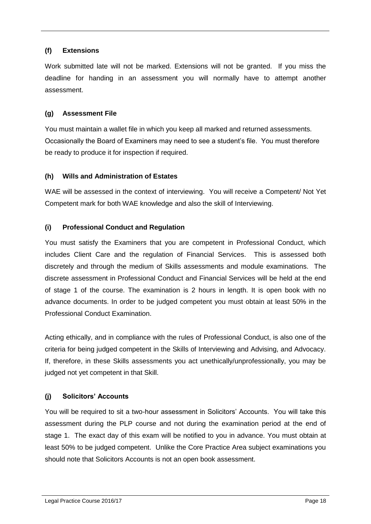## <span id="page-17-0"></span>**(f) Extensions**

Work submitted late will not be marked. Extensions will not be granted. If you miss the deadline for handing in an assessment you will normally have to attempt another assessment.

## <span id="page-17-1"></span>**(g) Assessment File**

You must maintain a wallet file in which you keep all marked and returned assessments. Occasionally the Board of Examiners may need to see a student's file. You must therefore be ready to produce it for inspection if required.

## <span id="page-17-2"></span>**(h) Wills and Administration of Estates**

WAE will be assessed in the context of interviewing. You will receive a Competent/ Not Yet Competent mark for both WAE knowledge and also the skill of Interviewing.

## <span id="page-17-3"></span>**(i) Professional Conduct and Regulation**

You must satisfy the Examiners that you are competent in Professional Conduct, which includes Client Care and the regulation of Financial Services. This is assessed both discretely and through the medium of Skills assessments and module examinations. The discrete assessment in Professional Conduct and Financial Services will be held at the end of stage 1 of the course. The examination is 2 hours in length. It is open book with no advance documents. In order to be judged competent you must obtain at least 50% in the Professional Conduct Examination.

Acting ethically, and in compliance with the rules of Professional Conduct, is also one of the criteria for being judged competent in the Skills of Interviewing and Advising, and Advocacy. If, therefore, in these Skills assessments you act unethically/unprofessionally, you may be judged not yet competent in that Skill.

## <span id="page-17-4"></span>**(j) Solicitors' Accounts**

You will be required to sit a two-hour assessment in Solicitors' Accounts. You will take this assessment during the PLP course and not during the examination period at the end of stage 1. The exact day of this exam will be notified to you in advance. You must obtain at least 50% to be judged competent. Unlike the Core Practice Area subject examinations you should note that Solicitors Accounts is not an open book assessment.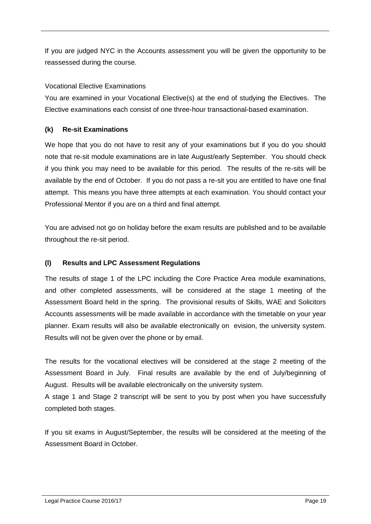If you are judged NYC in the Accounts assessment you will be given the opportunity to be reassessed during the course.

## Vocational Elective Examinations

You are examined in your Vocational Elective(s) at the end of studying the Electives. The Elective examinations each consist of one three-hour transactional-based examination.

## <span id="page-18-0"></span>**(k) Re-sit Examinations**

We hope that you do not have to resit any of your examinations but if you do you should note that re-sit module examinations are in late August/early September. You should check if you think you may need to be available for this period. The results of the re-sits will be available by the end of October. If you do not pass a re-sit you are entitled to have one final attempt. This means you have three attempts at each examination. You should contact your Professional Mentor if you are on a third and final attempt.

You are advised not go on holiday before the exam results are published and to be available throughout the re-sit period.

## <span id="page-18-1"></span>**(l) Results and LPC Assessment Regulations**

The results of stage 1 of the LPC including the Core Practice Area module examinations, and other completed assessments, will be considered at the stage 1 meeting of the Assessment Board held in the spring. The provisional results of Skills, WAE and Solicitors Accounts assessments will be made available in accordance with the timetable on your year planner. Exam results will also be available electronically on evision, the university system. Results will not be given over the phone or by email.

The results for the vocational electives will be considered at the stage 2 meeting of the Assessment Board in July. Final results are available by the end of July/beginning of August. Results will be available electronically on the university system.

A stage 1 and Stage 2 transcript will be sent to you by post when you have successfully completed both stages.

If you sit exams in August/September, the results will be considered at the meeting of the Assessment Board in October.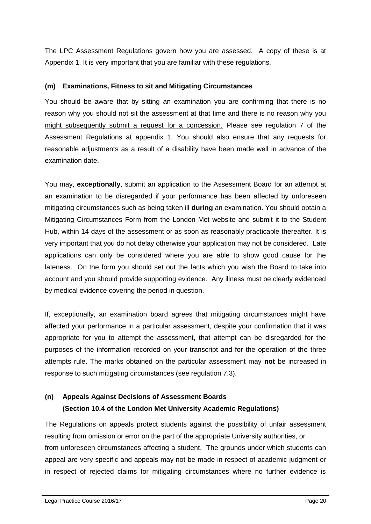The LPC Assessment Regulations govern how you are assessed. A copy of these is at Appendix 1. It is very important that you are familiar with these regulations.

## <span id="page-19-0"></span>**(m) Examinations, Fitness to sit and Mitigating Circumstances**

You should be aware that by sitting an examination you are confirming that there is no reason why you should not sit the assessment at that time and there is no reason why you might subsequently submit a request for a concession. Please see regulation 7 of the Assessment Regulations at appendix 1. You should also ensure that any requests for reasonable adjustments as a result of a disability have been made well in advance of the examination date.

You may, **exceptionally**, submit an application to the Assessment Board for an attempt at an examination to be disregarded if your performance has been affected by unforeseen mitigating circumstances such as being taken ill **during** an examination. You should obtain a Mitigating Circumstances Form from the London Met website and submit it to the Student Hub, within 14 days of the assessment or as soon as reasonably practicable thereafter. It is very important that you do not delay otherwise your application may not be considered. Late applications can only be considered where you are able to show good cause for the lateness. On the form you should set out the facts which you wish the Board to take into account and you should provide supporting evidence. Any illness must be clearly evidenced by medical evidence covering the period in question.

If, exceptionally, an examination board agrees that mitigating circumstances might have affected your performance in a particular assessment, despite your confirmation that it was appropriate for you to attempt the assessment, that attempt can be disregarded for the purposes of the information recorded on your transcript and for the operation of the three attempts rule. The marks obtained on the particular assessment may **not** be increased in response to such mitigating circumstances (see regulation 7.3).

## <span id="page-19-1"></span>**(n) Appeals Against Decisions of Assessment Boards (Section 10.4 of the London Met University Academic Regulations)**

The Regulations on appeals protect students against the possibility of unfair assessment resulting from omission or error on the part of the appropriate University authorities, or from unforeseen circumstances affecting a student. The grounds under which students can appeal are very specific and appeals may not be made in respect of academic judgment or in respect of rejected claims for mitigating circumstances where no further evidence is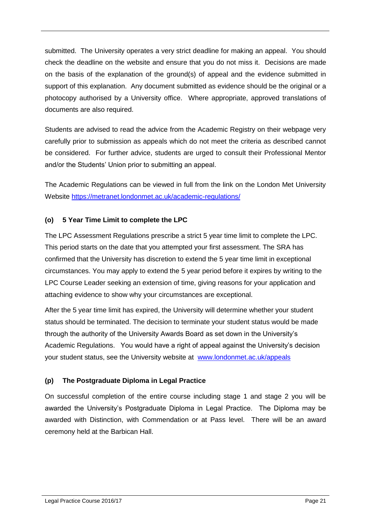submitted. The University operates a very strict deadline for making an appeal. You should check the deadline on the website and ensure that you do not miss it. Decisions are made on the basis of the explanation of the ground(s) of appeal and the evidence submitted in support of this explanation. Any document submitted as evidence should be the original or a photocopy authorised by a University office. Where appropriate, approved translations of documents are also required.

Students are advised to read the advice from the Academic Registry on their webpage very carefully prior to submission as appeals which do not meet the criteria as described cannot be considered. For further advice, students are urged to consult their Professional Mentor and/or the Students' Union prior to submitting an appeal.

The Academic Regulations can be viewed in full from the link on the London Met University Website <https://metranet.londonmet.ac.uk/academic-regulations/>

## <span id="page-20-0"></span>**(o) 5 Year Time Limit to complete the LPC**

The LPC Assessment Regulations prescribe a strict 5 year time limit to complete the LPC. This period starts on the date that you attempted your first assessment. The SRA has confirmed that the University has discretion to extend the 5 year time limit in exceptional circumstances. You may apply to extend the 5 year period before it expires by writing to the LPC Course Leader seeking an extension of time, giving reasons for your application and attaching evidence to show why your circumstances are exceptional.

After the 5 year time limit has expired, the University will determine whether your student status should be terminated. The decision to terminate your student status would be made through the authority of the University Awards Board as set down in the University's Academic Regulations. You would have a right of appeal against the University's decision your student status, see the University website at [www.londonmet.ac.uk/appeals](http://www.londonmet.ac.uk/appeals)

## **(p) The Postgraduate Diploma in Legal Practice**

On successful completion of the entire course including stage 1 and stage 2 you will be awarded the University's Postgraduate Diploma in Legal Practice. The Diploma may be awarded with Distinction, with Commendation or at Pass level. There will be an award ceremony held at the Barbican Hall.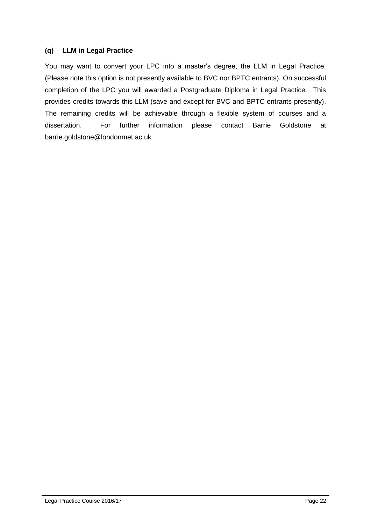## <span id="page-21-0"></span>**(q) LLM in Legal Practice**

You may want to convert your LPC into a master's degree, the LLM in Legal Practice. (Please note this option is not presently available to BVC nor BPTC entrants). On successful completion of the LPC you will awarded a Postgraduate Diploma in Legal Practice. This provides credits towards this LLM (save and except for BVC and BPTC entrants presently). The remaining credits will be achievable through a flexible system of courses and a dissertation. For further information please contact Barrie Goldstone at barrie.goldstone@londonmet.ac.uk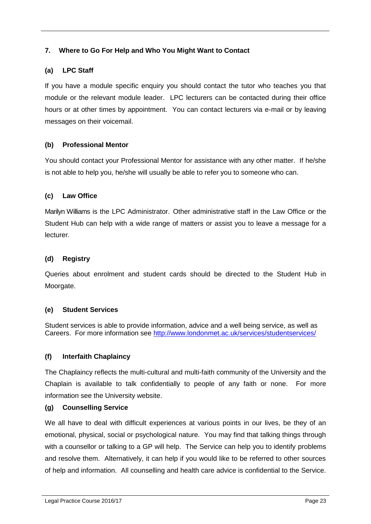## <span id="page-22-0"></span>**7. Where to Go For Help and Who You Might Want to Contact**

## <span id="page-22-1"></span>**(a) LPC Staff**

If you have a module specific enquiry you should contact the tutor who teaches you that module or the relevant module leader. LPC lecturers can be contacted during their office hours or at other times by appointment. You can contact lecturers via e-mail or by leaving messages on their voicemail.

## <span id="page-22-2"></span>**(b) Professional Mentor**

You should contact your Professional Mentor for assistance with any other matter. If he/she is not able to help you, he/she will usually be able to refer you to someone who can.

## <span id="page-22-3"></span>**(c) Law Office**

Marilyn Williams is the LPC Administrator. Other administrative staff in the Law Office or the Student Hub can help with a wide range of matters or assist you to leave a message for a lecturer.

#### <span id="page-22-4"></span>**(d) Registry**

Queries about enrolment and student cards should be directed to the Student Hub in Moorgate.

## <span id="page-22-5"></span>**(e) Student Services**

Student services is able to provide information, advice and a well being service, as well as Careers. For more information see<http://www.londonmet.ac.uk/services/studentservices/>

## <span id="page-22-6"></span>**(f) Interfaith Chaplaincy**

The Chaplaincy reflects the multi-cultural and multi-faith community of the University and the Chaplain is available to talk confidentially to people of any faith or none. For more information see the University website.

#### <span id="page-22-7"></span>**(g) Counselling Service**

We all have to deal with difficult experiences at various points in our lives, be they of an emotional, physical, social or psychological nature. You may find that talking things through with a counsellor or talking to a GP will help. The Service can help you to identify problems and resolve them. Alternatively, it can help if you would like to be referred to other sources of help and information. All counselling and health care advice is confidential to the Service.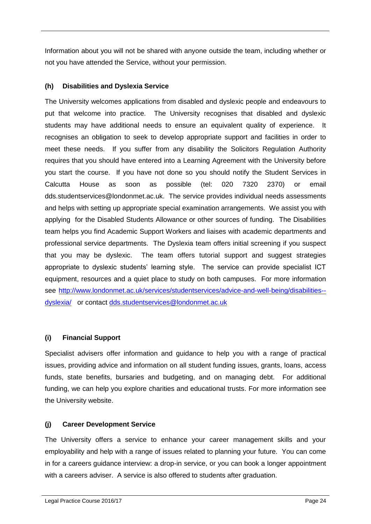Information about you will not be shared with anyone outside the team, including whether or not you have attended the Service, without your permission.

## <span id="page-23-0"></span>**(h) Disabilities and Dyslexia Service**

The University welcomes applications from disabled and dyslexic people and endeavours to put that welcome into practice. The University recognises that disabled and dyslexic students may have additional needs to ensure an equivalent quality of experience. It recognises an obligation to seek to develop appropriate support and facilities in order to meet these needs. If you suffer from any disability the Solicitors Regulation Authority requires that you should have entered into a Learning Agreement with the University before you start the course. If you have not done so you should notify the Student Services in Calcutta House as soon as possible (tel: 020 7320 2370) or email dds.studentservices@londonmet.ac.uk. The service provides individual needs assessments and helps with setting up appropriate special examination arrangements. We assist you with applying for the Disabled Students Allowance or other sources of funding. The Disabilities team helps you find Academic Support Workers and liaises with academic departments and professional service departments. The Dyslexia team offers initial screening if you suspect that you may be dyslexic. The team offers tutorial support and suggest strategies appropriate to dyslexic students' learning style. The service can provide specialist ICT equipment, resources and a quiet place to study on both campuses. For more information see [http://www.londonmet.ac.uk/services/studentservices/advice-and-well-being/disabilities-](http://www.londonmet.ac.uk/services/studentservices/advice-and-well-being/disabilities--dyslexia/) [dyslexia/](http://www.londonmet.ac.uk/services/studentservices/advice-and-well-being/disabilities--dyslexia/) or contact [dds.studentservices@londonmet.ac.uk](mailto:dds.studentservices@londonmet.ac.uk)

## <span id="page-23-1"></span>**(i) Financial Support**

Specialist advisers offer information and guidance to help you with a range of practical issues, providing advice and information on all student funding issues, grants, loans, access funds, state benefits, bursaries and budgeting, and on managing debt. For additional funding, we can help you explore charities and educational trusts. For more information see the University website.

## <span id="page-23-2"></span>**(j) Career Development Service**

The University offers a service to enhance your career management skills and your employability and help with a range of issues related to planning your future. You can come in for a careers guidance interview: a drop-in service, or you can book a longer appointment with a careers adviser. A service is also offered to students after graduation.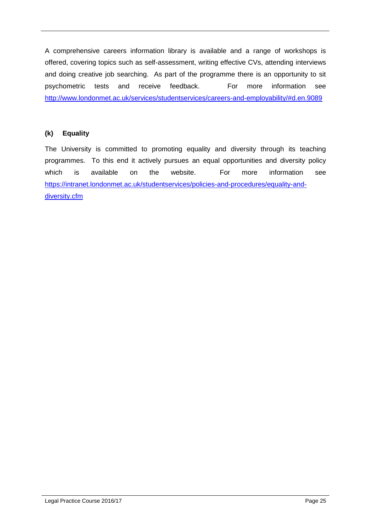A comprehensive careers information library is available and a range of workshops is offered, covering topics such as self-assessment, writing effective CVs, attending interviews and doing creative job searching. As part of the programme there is an opportunity to sit psychometric tests and receive feedback. For more information see <http://www.londonmet.ac.uk/services/studentservices/careers-and-employability/#d.en.9089>

## **(k) Equality**

The University is committed to promoting equality and diversity through its teaching programmes. To this end it actively pursues an equal opportunities and diversity policy which is available on the website. For more information see [https://intranet.londonmet.ac.uk/studentservices/policies-and-procedures/equality-and](https://intranet.londonmet.ac.uk/studentservices/policies-and-procedures/equality-and-diversity.cfm)[diversity.cfm](https://intranet.londonmet.ac.uk/studentservices/policies-and-procedures/equality-and-diversity.cfm)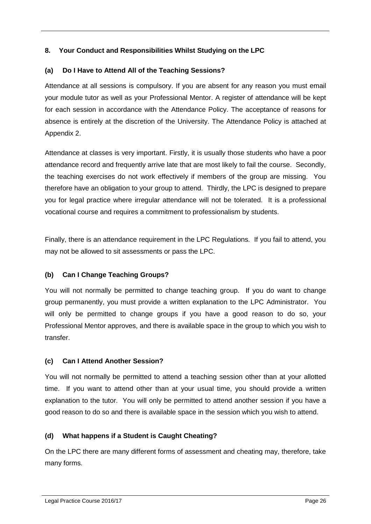## <span id="page-25-0"></span>**8. Your Conduct and Responsibilities Whilst Studying on the LPC**

## <span id="page-25-1"></span>**(a) Do I Have to Attend All of the Teaching Sessions?**

Attendance at all sessions is compulsory. If you are absent for any reason you must email your module tutor as well as your Professional Mentor. A register of attendance will be kept for each session in accordance with the Attendance Policy. The acceptance of reasons for absence is entirely at the discretion of the University. The Attendance Policy is attached at Appendix 2.

Attendance at classes is very important. Firstly, it is usually those students who have a poor attendance record and frequently arrive late that are most likely to fail the course. Secondly, the teaching exercises do not work effectively if members of the group are missing. You therefore have an obligation to your group to attend. Thirdly, the LPC is designed to prepare you for legal practice where irregular attendance will not be tolerated. It is a professional vocational course and requires a commitment to professionalism by students.

Finally, there is an attendance requirement in the LPC Regulations. If you fail to attend, you may not be allowed to sit assessments or pass the LPC.

## <span id="page-25-2"></span>**(b) Can I Change Teaching Groups?**

You will not normally be permitted to change teaching group. If you do want to change group permanently, you must provide a written explanation to the LPC Administrator. You will only be permitted to change groups if you have a good reason to do so, your Professional Mentor approves, and there is available space in the group to which you wish to transfer.

## <span id="page-25-3"></span>**(c) Can I Attend Another Session?**

You will not normally be permitted to attend a teaching session other than at your allotted time. If you want to attend other than at your usual time, you should provide a written explanation to the tutor. You will only be permitted to attend another session if you have a good reason to do so and there is available space in the session which you wish to attend.

## <span id="page-25-4"></span>**(d) What happens if a Student is Caught Cheating?**

On the LPC there are many different forms of assessment and cheating may, therefore, take many forms.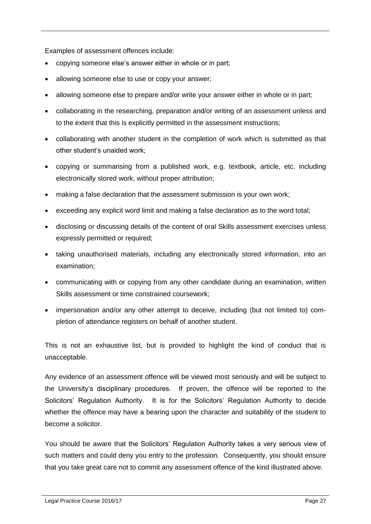Examples of assessment offences include:

- copying someone else's answer either in whole or in part;
- allowing someone else to use or copy your answer;
- allowing someone else to prepare and/or write your answer either in whole or in part;
- collaborating in the researching, preparation and/or writing of an assessment unless and to the extent that this is explicitly permitted in the assessment instructions;
- collaborating with another student in the completion of work which is submitted as that other student's unaided work;
- copying or summarising from a published work, e.g. textbook, article, etc. including electronically stored work, without proper attribution;
- making a false declaration that the assessment submission is your own work;
- exceeding any explicit word limit and making a false declaration as to the word total;
- disclosing or discussing details of the content of oral Skills assessment exercises unless expressly permitted or required;
- taking unauthorised materials, including any electronically stored information, into an examination;
- communicating with or copying from any other candidate during an examination, written Skills assessment or time constrained coursework;
- impersonation and/or any other attempt to deceive, including (but not limited to) completion of attendance registers on behalf of another student.

This is not an exhaustive list, but is provided to highlight the kind of conduct that is unacceptable.

Any evidence of an assessment offence will be viewed most seriously and will be subject to the University's disciplinary procedures. If proven, the offence will be reported to the Solicitors' Regulation Authority. It is for the Solicitors' Regulation Authority to decide whether the offence may have a bearing upon the character and suitability of the student to become a solicitor.

You should be aware that the Solicitors' Regulation Authority takes a very serious view of such matters and could deny you entry to the profession. Consequently, you should ensure that you take great care not to commit any assessment offence of the kind illustrated above.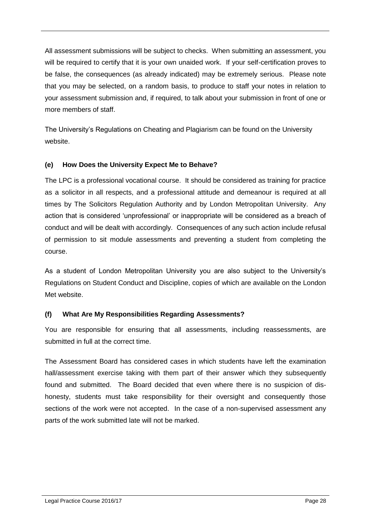All assessment submissions will be subject to checks. When submitting an assessment, you will be required to certify that it is your own unaided work. If your self-certification proves to be false, the consequences (as already indicated) may be extremely serious. Please note that you may be selected, on a random basis, to produce to staff your notes in relation to your assessment submission and, if required, to talk about your submission in front of one or more members of staff.

The University's Regulations on Cheating and Plagiarism can be found on the University website.

## <span id="page-27-0"></span>**(e) How Does the University Expect Me to Behave?**

The LPC is a professional vocational course. It should be considered as training for practice as a solicitor in all respects, and a professional attitude and demeanour is required at all times by The Solicitors Regulation Authority and by London Metropolitan University. Any action that is considered 'unprofessional' or inappropriate will be considered as a breach of conduct and will be dealt with accordingly. Consequences of any such action include refusal of permission to sit module assessments and preventing a student from completing the course.

As a student of London Metropolitan University you are also subject to the University's Regulations on Student Conduct and Discipline, copies of which are available on the London Met website.

## <span id="page-27-1"></span>**(f) What Are My Responsibilities Regarding Assessments?**

You are responsible for ensuring that all assessments, including reassessments, are submitted in full at the correct time.

The Assessment Board has considered cases in which students have left the examination hall/assessment exercise taking with them part of their answer which they subsequently found and submitted. The Board decided that even where there is no suspicion of dishonesty, students must take responsibility for their oversight and consequently those sections of the work were not accepted. In the case of a non-supervised assessment any parts of the work submitted late will not be marked.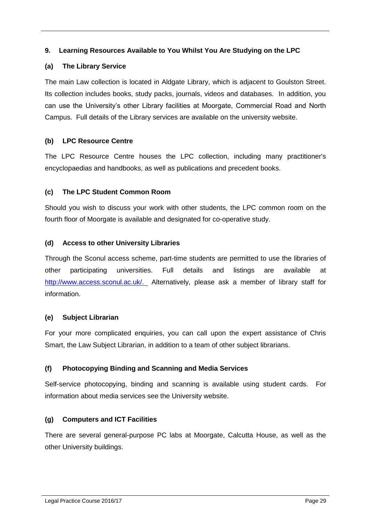## <span id="page-28-0"></span>**9. Learning Resources Available to You Whilst You Are Studying on the LPC**

## <span id="page-28-1"></span>**(a) The Library Service**

The main Law collection is located in Aldgate Library, which is adjacent to Goulston Street. Its collection includes books, study packs, journals, videos and databases. In addition, you can use the University's other Library facilities at Moorgate, Commercial Road and North Campus. Full details of the Library services are available on the university website.

## <span id="page-28-2"></span>**(b) LPC Resource Centre**

The LPC Resource Centre houses the LPC collection, including many practitioner's encyclopaedias and handbooks, as well as publications and precedent books.

#### <span id="page-28-3"></span>**(c) The LPC Student Common Room**

Should you wish to discuss your work with other students, the LPC common room on the fourth floor of Moorgate is available and designated for co-operative study.

#### <span id="page-28-4"></span>**(d) Access to other University Libraries**

Through the Sconul access scheme, part-time students are permitted to use the libraries of other participating universities. Full details and listings are available at [http://www.access.sconul.ac.uk/.](http://www.access.sconul.ac.uk/) Alternatively, please ask a member of library staff for information.

#### <span id="page-28-5"></span>**(e) Subject Librarian**

For your more complicated enquiries, you can call upon the expert assistance of Chris Smart, the Law Subject Librarian, in addition to a team of other subject librarians.

## <span id="page-28-6"></span>**(f) Photocopying Binding and Scanning and Media Services**

Self-service photocopying, binding and scanning is available using student cards. For information about media services see the University website.

## <span id="page-28-7"></span>**(g) Computers and ICT Facilities**

There are several general-purpose PC labs at Moorgate, Calcutta House, as well as the other University buildings.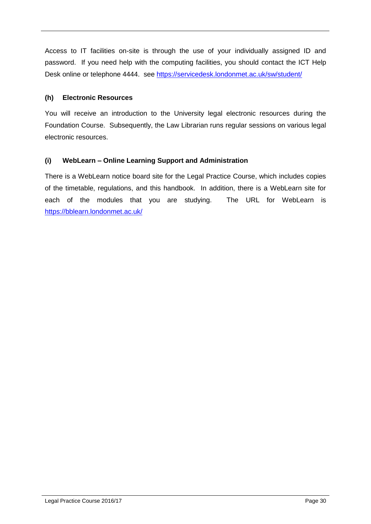Access to IT facilities on-site is through the use of your individually assigned ID and password. If you need help with the computing facilities, you should contact the ICT Help Desk online or telephone 4444. see<https://servicedesk.londonmet.ac.uk/sw/student/>

### <span id="page-29-0"></span>**(h) Electronic Resources**

You will receive an introduction to the University legal electronic resources during the Foundation Course. Subsequently, the Law Librarian runs regular sessions on various legal electronic resources.

## <span id="page-29-1"></span>**(i) WebLearn – Online Learning Support and Administration**

There is a WebLearn notice board site for the Legal Practice Course, which includes copies of the timetable, regulations, and this handbook. In addition, there is a WebLearn site for each of the modules that you are studying. The URL for WebLearn is <https://bblearn.londonmet.ac.uk/>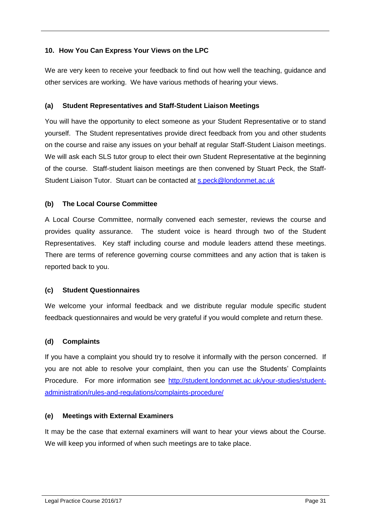## <span id="page-30-0"></span>**10. How You Can Express Your Views on the LPC**

We are very keen to receive your feedback to find out how well the teaching, guidance and other services are working. We have various methods of hearing your views.

## <span id="page-30-1"></span>**(a) Student Representatives and Staff-Student Liaison Meetings**

You will have the opportunity to elect someone as your Student Representative or to stand yourself. The Student representatives provide direct feedback from you and other students on the course and raise any issues on your behalf at regular Staff-Student Liaison meetings. We will ask each SLS tutor group to elect their own Student Representative at the beginning of the course. Staff-student liaison meetings are then convened by Stuart Peck, the Staff-Student Liaison Tutor. Stuart can be contacted at [s.peck@londonmet.ac.uk](mailto:s.peck@londonmet.ac.uk)

## <span id="page-30-2"></span>**(b) The Local Course Committee**

A Local Course Committee, normally convened each semester, reviews the course and provides quality assurance. The student voice is heard through two of the Student Representatives. Key staff including course and module leaders attend these meetings. There are terms of reference governing course committees and any action that is taken is reported back to you.

#### <span id="page-30-3"></span>**(c) Student Questionnaires**

We welcome your informal feedback and we distribute regular module specific student feedback questionnaires and would be very grateful if you would complete and return these.

## <span id="page-30-4"></span>**(d) Complaints**

If you have a complaint you should try to resolve it informally with the person concerned. If you are not able to resolve your complaint, then you can use the Students' Complaints Procedure. For more information see [http://student.londonmet.ac.uk/your-studies/student](http://student.londonmet.ac.uk/your-studies/student-administration/rules-and-regulations/complaints-procedure/)[administration/rules-and-regulations/complaints-procedure/](http://student.londonmet.ac.uk/your-studies/student-administration/rules-and-regulations/complaints-procedure/)

#### <span id="page-30-5"></span>**(e) Meetings with External Examiners**

It may be the case that external examiners will want to hear your views about the Course. We will keep you informed of when such meetings are to take place.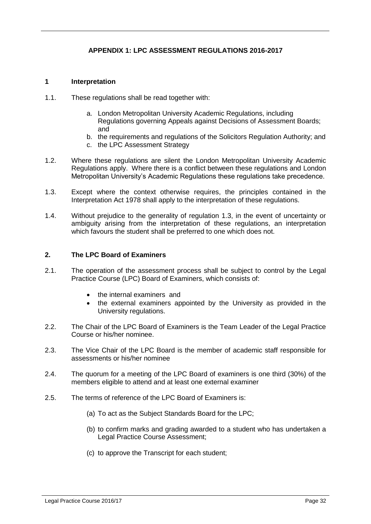## <span id="page-31-1"></span>**APPENDIX 1: LPC ASSESSMENT REGULATIONS 2016-2017**

#### <span id="page-31-0"></span>**1 Interpretation**

- 1.1. These regulations shall be read together with:
	- a. London Metropolitan University Academic Regulations, including Regulations governing Appeals against Decisions of Assessment Boards; and
	- b. the requirements and regulations of the Solicitors Regulation Authority; and
	- c. the LPC Assessment Strategy
- 1.2. Where these regulations are silent the London Metropolitan University Academic Regulations apply. Where there is a conflict between these regulations and London Metropolitan University's Academic Regulations these regulations take precedence.
- 1.3. Except where the context otherwise requires, the principles contained in the Interpretation Act 1978 shall apply to the interpretation of these regulations.
- 1.4. Without prejudice to the generality of regulation 1.3, in the event of uncertainty or ambiguity arising from the interpretation of these regulations, an interpretation which favours the student shall be preferred to one which does not.

#### **2. The LPC Board of Examiners**

- 2.1. The operation of the assessment process shall be subject to control by the Legal Practice Course (LPC) Board of Examiners, which consists of:
	- the internal examiners and
	- the external examiners appointed by the University as provided in the University regulations.
- 2.2. The Chair of the LPC Board of Examiners is the Team Leader of the Legal Practice Course or his/her nominee.
- 2.3. The Vice Chair of the LPC Board is the member of academic staff responsible for assessments or his/her nominee
- 2.4. The quorum for a meeting of the LPC Board of examiners is one third (30%) of the members eligible to attend and at least one external examiner
- 2.5. The terms of reference of the LPC Board of Examiners is:
	- (a) To act as the Subject Standards Board for the LPC;
	- (b) to confirm marks and grading awarded to a student who has undertaken a Legal Practice Course Assessment;
	- (c) to approve the Transcript for each student;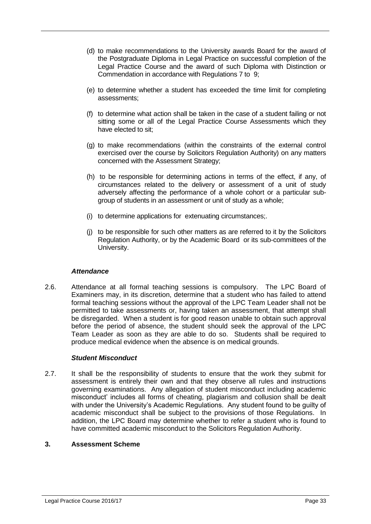- (d) to make recommendations to the University awards Board for the award of the Postgraduate Diploma in Legal Practice on successful completion of the Legal Practice Course and the award of such Diploma with Distinction or Commendation in accordance with Regulations 7 to 9;
- (e) to determine whether a student has exceeded the time limit for completing assessments;
- (f) to determine what action shall be taken in the case of a student failing or not sitting some or all of the Legal Practice Course Assessments which they have elected to sit;
- (g) to make recommendations (within the constraints of the external control exercised over the course by Solicitors Regulation Authority) on any matters concerned with the Assessment Strategy;
- (h) to be responsible for determining actions in terms of the effect, if any, of circumstances related to the delivery or assessment of a unit of study adversely affecting the performance of a whole cohort or a particular subgroup of students in an assessment or unit of study as a whole;
- (i) to determine applications for extenuating circumstances;.
- (j) to be responsible for such other matters as are referred to it by the Solicitors Regulation Authority, or by the Academic Board or its sub-committees of the University.

#### *Attendance*

2.6. Attendance at all formal teaching sessions is compulsory. The LPC Board of Examiners may, in its discretion, determine that a student who has failed to attend formal teaching sessions without the approval of the LPC Team Leader shall not be permitted to take assessments or, having taken an assessment, that attempt shall be disregarded. When a student is for good reason unable to obtain such approval before the period of absence, the student should seek the approval of the LPC Team Leader as soon as they are able to do so. Students shall be required to produce medical evidence when the absence is on medical grounds.

#### *Student Misconduct*

2.7. It shall be the responsibility of students to ensure that the work they submit for assessment is entirely their own and that they observe all rules and instructions governing examinations. Any allegation of student misconduct including academic misconduct' includes all forms of cheating, plagiarism and collusion shall be dealt with under the University's Academic Regulations. Any student found to be guilty of academic misconduct shall be subject to the provisions of those Regulations. In addition, the LPC Board may determine whether to refer a student who is found to have committed academic misconduct to the Solicitors Regulation Authority.

#### **3. Assessment Scheme**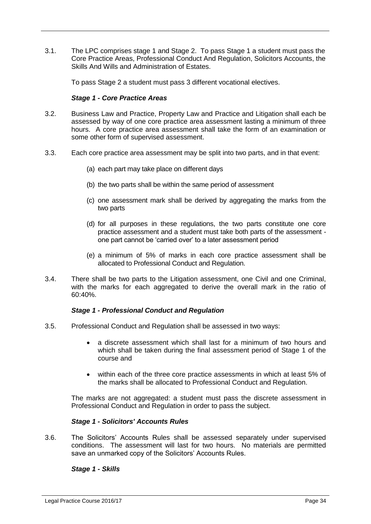3.1. The LPC comprises stage 1 and Stage 2. To pass Stage 1 a student must pass the Core Practice Areas, Professional Conduct And Regulation, Solicitors Accounts, the Skills And Wills and Administration of Estates.

To pass Stage 2 a student must pass 3 different vocational electives.

#### *Stage 1 - Core Practice Areas*

- 3.2. Business Law and Practice, Property Law and Practice and Litigation shall each be assessed by way of one core practice area assessment lasting a minimum of three hours. A core practice area assessment shall take the form of an examination or some other form of supervised assessment.
- 3.3. Each core practice area assessment may be split into two parts, and in that event:
	- (a) each part may take place on different days
	- (b) the two parts shall be within the same period of assessment
	- (c) one assessment mark shall be derived by aggregating the marks from the two parts
	- (d) for all purposes in these regulations, the two parts constitute one core practice assessment and a student must take both parts of the assessment one part cannot be 'carried over' to a later assessment period
	- (e) a minimum of 5% of marks in each core practice assessment shall be allocated to Professional Conduct and Regulation.
- 3.4. There shall be two parts to the Litigation assessment, one Civil and one Criminal, with the marks for each aggregated to derive the overall mark in the ratio of 60:40%.

#### *Stage 1 - Professional Conduct and Regulation*

- 3.5. Professional Conduct and Regulation shall be assessed in two ways:
	- a discrete assessment which shall last for a minimum of two hours and which shall be taken during the final assessment period of Stage 1 of the course and
	- within each of the three core practice assessments in which at least 5% of the marks shall be allocated to Professional Conduct and Regulation.

The marks are not aggregated: a student must pass the discrete assessment in Professional Conduct and Regulation in order to pass the subject.

#### *Stage 1 - Solicitors' Accounts Rules*

3.6. The Solicitors' Accounts Rules shall be assessed separately under supervised conditions. The assessment will last for two hours. No materials are permitted save an unmarked copy of the Solicitors' Accounts Rules.

#### *Stage 1 - Skills*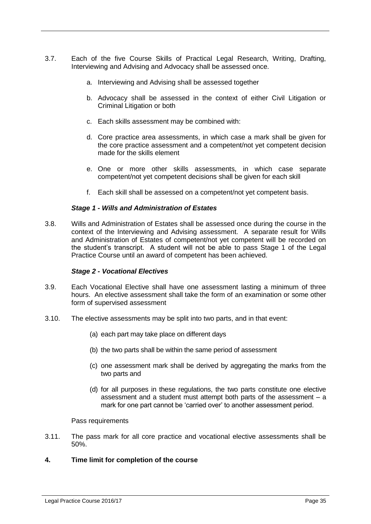- 3.7. Each of the five Course Skills of Practical Legal Research, Writing, Drafting, Interviewing and Advising and Advocacy shall be assessed once.
	- a. Interviewing and Advising shall be assessed together
	- b. Advocacy shall be assessed in the context of either Civil Litigation or Criminal Litigation or both
	- c. Each skills assessment may be combined with:
	- d. Core practice area assessments, in which case a mark shall be given for the core practice assessment and a competent/not yet competent decision made for the skills element
	- e. One or more other skills assessments, in which case separate competent/not yet competent decisions shall be given for each skill
	- f. Each skill shall be assessed on a competent/not yet competent basis.

#### *Stage 1 - Wills and Administration of Estates*

3.8. Wills and Administration of Estates shall be assessed once during the course in the context of the Interviewing and Advising assessment. A separate result for Wills and Administration of Estates of competent/not yet competent will be recorded on the student's transcript. A student will not be able to pass Stage 1 of the Legal Practice Course until an award of competent has been achieved.

#### *Stage 2 - Vocational Electives*

- 3.9. Each Vocational Elective shall have one assessment lasting a minimum of three hours. An elective assessment shall take the form of an examination or some other form of supervised assessment
- 3.10. The elective assessments may be split into two parts, and in that event:
	- (a) each part may take place on different days
	- (b) the two parts shall be within the same period of assessment
	- (c) one assessment mark shall be derived by aggregating the marks from the two parts and
	- (d) for all purposes in these regulations, the two parts constitute one elective assessment and a student must attempt both parts of the assessment – a mark for one part cannot be 'carried over' to another assessment period.

#### Pass requirements

3.11. The pass mark for all core practice and vocational elective assessments shall be 50%.

#### **4. Time limit for completion of the course**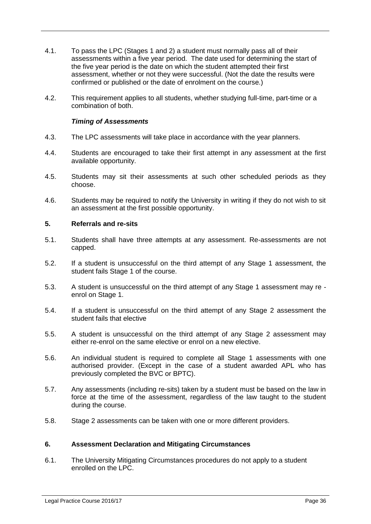- 4.1. To pass the LPC (Stages 1 and 2) a student must normally pass all of their assessments within a five year period. The date used for determining the start of the five year period is the date on which the student attempted their first assessment, whether or not they were successful. (Not the date the results were confirmed or published or the date of enrolment on the course.)
- 4.2. This requirement applies to all students, whether studying full-time, part-time or a combination of both.

#### *Timing of Assessments*

- 4.3. The LPC assessments will take place in accordance with the year planners.
- 4.4. Students are encouraged to take their first attempt in any assessment at the first available opportunity.
- 4.5. Students may sit their assessments at such other scheduled periods as they choose.
- 4.6. Students may be required to notify the University in writing if they do not wish to sit an assessment at the first possible opportunity.

#### **5. Referrals and re-sits**

- 5.1. Students shall have three attempts at any assessment. Re-assessments are not capped.
- 5.2. If a student is unsuccessful on the third attempt of any Stage 1 assessment, the student fails Stage 1 of the course.
- 5.3. A student is unsuccessful on the third attempt of any Stage 1 assessment may re enrol on Stage 1.
- 5.4. If a student is unsuccessful on the third attempt of any Stage 2 assessment the student fails that elective
- 5.5. A student is unsuccessful on the third attempt of any Stage 2 assessment may either re-enrol on the same elective or enrol on a new elective.
- 5.6. An individual student is required to complete all Stage 1 assessments with one authorised provider. (Except in the case of a student awarded APL who has previously completed the BVC or BPTC).
- 5.7. Any assessments (including re-sits) taken by a student must be based on the law in force at the time of the assessment, regardless of the law taught to the student during the course.
- 5.8. Stage 2 assessments can be taken with one or more different providers.

#### **6. Assessment Declaration and Mitigating Circumstances**

6.1. The University Mitigating Circumstances procedures do not apply to a student enrolled on the LPC.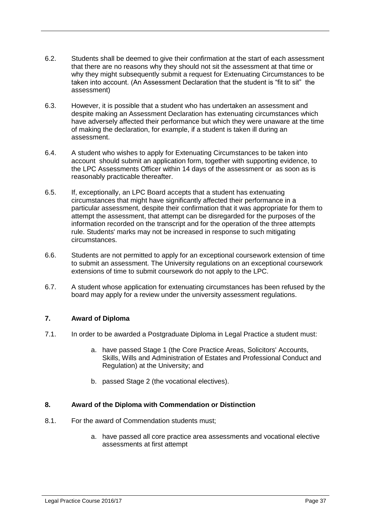- 6.2. Students shall be deemed to give their confirmation at the start of each assessment that there are no reasons why they should not sit the assessment at that time or why they might subsequently submit a request for Extenuating Circumstances to be taken into account. (An Assessment Declaration that the student is "fit to sit" the assessment)
- 6.3. However, it is possible that a student who has undertaken an assessment and despite making an Assessment Declaration has extenuating circumstances which have adversely affected their performance but which they were unaware at the time of making the declaration, for example, if a student is taken ill during an assessment.
- 6.4. A student who wishes to apply for Extenuating Circumstances to be taken into account should submit an application form, together with supporting evidence, to the LPC Assessments Officer within 14 days of the assessment or as soon as is reasonably practicable thereafter.
- 6.5. If, exceptionally, an LPC Board accepts that a student has extenuating circumstances that might have significantly affected their performance in a particular assessment, despite their confirmation that it was appropriate for them to attempt the assessment, that attempt can be disregarded for the purposes of the information recorded on the transcript and for the operation of the three attempts rule. Students' marks may not be increased in response to such mitigating circumstances.
- 6.6. Students are not permitted to apply for an exceptional coursework extension of time to submit an assessment. The University regulations on an exceptional coursework extensions of time to submit coursework do not apply to the LPC.
- 6.7. A student whose application for extenuating circumstances has been refused by the board may apply for a review under the university assessment regulations.

## **7. Award of Diploma**

- 7.1. In order to be awarded a Postgraduate Diploma in Legal Practice a student must:
	- a. have passed Stage 1 (the Core Practice Areas, Solicitors' Accounts, Skills, Wills and Administration of Estates and Professional Conduct and Regulation) at the University; and
	- b. passed Stage 2 (the vocational electives).

## **8. Award of the Diploma with Commendation or Distinction**

- 8.1. For the award of Commendation students must;
	- a. have passed all core practice area assessments and vocational elective assessments at first attempt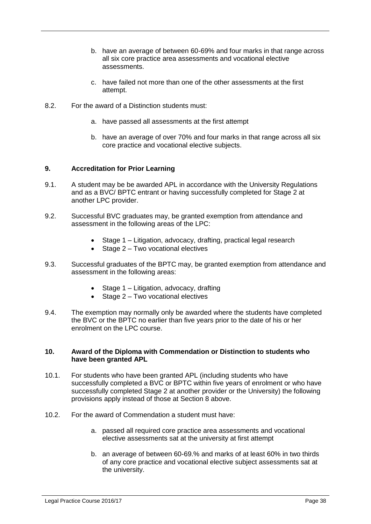- b. have an average of between 60-69% and four marks in that range across all six core practice area assessments and vocational elective assessments.
- c. have failed not more than one of the other assessments at the first attempt.
- 8.2. For the award of a Distinction students must:
	- a. have passed all assessments at the first attempt
	- b. have an average of over 70% and four marks in that range across all six core practice and vocational elective subjects.

#### **9. Accreditation for Prior Learning**

- 9.1. A student may be be awarded APL in accordance with the University Regulations and as a BVC/ BPTC entrant or having successfully completed for Stage 2 at another LPC provider.
- 9.2. Successful BVC graduates may, be granted exemption from attendance and assessment in the following areas of the LPC:
	- Stage 1 Litigation, advocacy, drafting, practical legal research
	- $\bullet$  Stage 2 Two vocational electives
- 9.3. Successful graduates of the BPTC may, be granted exemption from attendance and assessment in the following areas:
	- Stage 1 Litigation, advocacy, drafting
	- Stage 2 Two vocational electives
- 9.4. The exemption may normally only be awarded where the students have completed the BVC or the BPTC no earlier than five years prior to the date of his or her enrolment on the LPC course.

#### **10. Award of the Diploma with Commendation or Distinction to students who have been granted APL**

- 10.1. For students who have been granted APL (including students who have successfully completed a BVC or BPTC within five years of enrolment or who have successfully completed Stage 2 at another provider or the University) the following provisions apply instead of those at Section 8 above.
- 10.2. For the award of Commendation a student must have:
	- a. passed all required core practice area assessments and vocational elective assessments sat at the university at first attempt
	- b. an average of between 60-69.% and marks of at least 60% in two thirds of any core practice and vocational elective subject assessments sat at the university.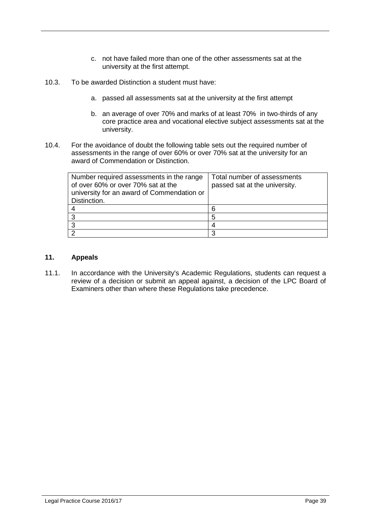- c. not have failed more than one of the other assessments sat at the university at the first attempt.
- 10.3. To be awarded Distinction a student must have:
	- a. passed all assessments sat at the university at the first attempt
	- b. an average of over 70% and marks of at least 70% in two-thirds of any core practice area and vocational elective subject assessments sat at the university.
- 10.4. For the avoidance of doubt the following table sets out the required number of assessments in the range of over 60% or over 70% sat at the university for an award of Commendation or Distinction.

| Number required assessments in the range<br>of over 60% or over 70% sat at the<br>university for an award of Commendation or<br>Distinction. | Total number of assessments<br>passed sat at the university. |
|----------------------------------------------------------------------------------------------------------------------------------------------|--------------------------------------------------------------|
|                                                                                                                                              |                                                              |
|                                                                                                                                              |                                                              |
|                                                                                                                                              |                                                              |
|                                                                                                                                              |                                                              |

#### **11. Appeals**

11.1. In accordance with the University's Academic Regulations, students can request a review of a decision or submit an appeal against, a decision of the LPC Board of Examiners other than where these Regulations take precedence.